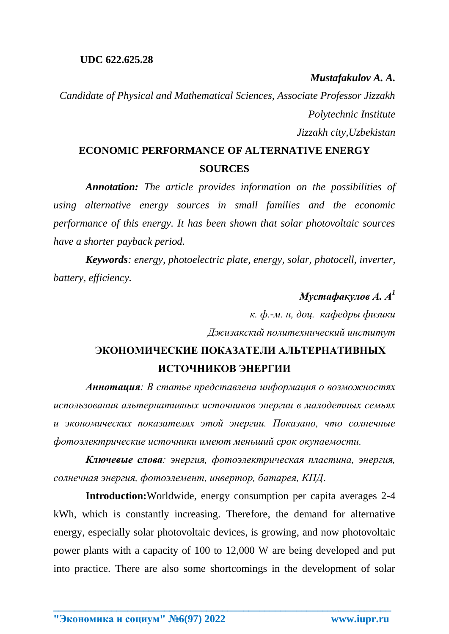*Mustafakulov A. A.*

*Candidate of Physical and Mathematical Sciences, Associate Professor Jizzakh Polytechnic Institute Jizzakh city,Uzbekistan*

## **ECONOMIC PERFORMANCE OF ALTERNATIVE ENERGY SOURCES**

*Annotation: The article provides information on the possibilities of using alternative energy sources in small families and the economic performance of this energy. It has been shown that solar photovoltaic sources have a shorter payback period.*

*Keywords: energy, photoelectric plate, energy, solar, photocell, inverter, battery, efficiency.*

## *Мустафакулов А. А<sup>1</sup>*

*к. ф.-м. н, доц. кафедры физики Джизакский политехнический институт*

## **ЭКОНОМИЧЕСКИЕ ПОКАЗАТЕЛИ АЛЬТЕРНАТИВНЫХ ИСТОЧНИКОВ ЭНЕРГИИ**

*Аннотация: В статье представлена информация о возможностях использования альтернативных источников энергии в малодетных семьях и экономических показателях этой энергии. Показано, что солнечные фотоэлектрические источники имеют меньший срок окупаемости.*

*Ключевые слова: энергия, фотоэлектрическая пластина, энергия, солнечная энергия, фотоэлемент, инвертор, батарея, КПД*.

**Introduction:**Worldwide, energy consumption per capita averages 2-4 kWh, which is constantly increasing. Therefore, the demand for alternative energy, especially solar photovoltaic devices, is growing, and now photovoltaic power plants with a capacity of 100 to 12,000 W are being developed and put into practice. There are also some shortcomings in the development of solar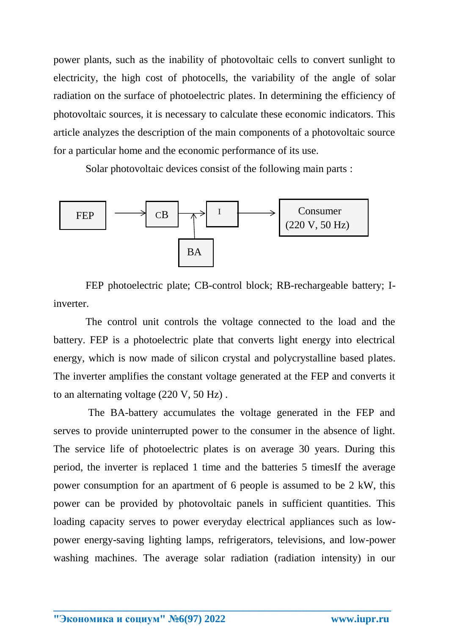power plants, such as the inability of photovoltaic cells to convert sunlight to electricity, the high cost of photocells, the variability of the angle of solar radiation on the surface of photoelectric plates. In determining the efficiency of photovoltaic sources, it is necessary to calculate these economic indicators. This article analyzes the description of the main components of a photovoltaic source for a particular home and the economic performance of its use.

Solar photovoltaic devices consist of the following main parts :



FEP photoelectric plate; CB-control block; RB-rechargeable battery; Iinverter.

The control unit controls the voltage connected to the load and the battery. FEP is a photoelectric plate that converts light energy into electrical energy, which is now made of silicon crystal and polycrystalline based plates. The inverter amplifies the constant voltage generated at the FEP and converts it to an alternating voltage (220 V, 50 Hz) .

The BA-battery accumulates the voltage generated in the FEP and serves to provide uninterrupted power to the consumer in the absence of light. The service life of photoelectric plates is on average 30 years. During this period, the inverter is replaced 1 time and the batteries 5 timesIf the average power consumption for an apartment of 6 people is assumed to be 2 kW, this power can be provided by photovoltaic panels in sufficient quantities. This loading capacity serves to power everyday electrical appliances such as lowpower energy-saving lighting lamps, refrigerators, televisions, and low-power washing machines. The average solar radiation (radiation intensity) in our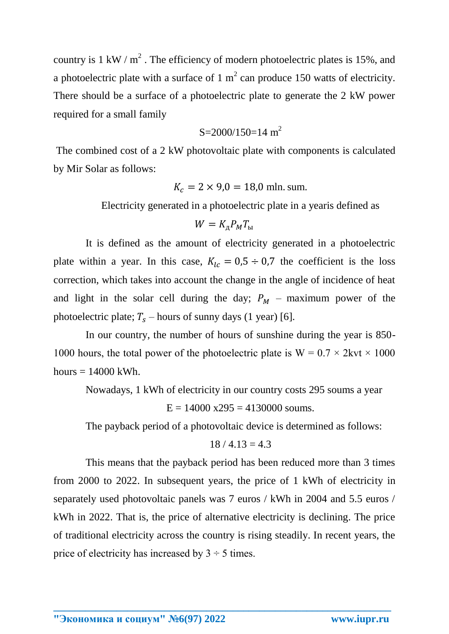country is 1 kW /  $m^2$ . The efficiency of modern photoelectric plates is 15%, and a photoelectric plate with a surface of 1  $m^2$  can produce 150 watts of electricity. There should be a surface of a photoelectric plate to generate the 2 kW power required for a small family

$$
S=2000/150=14
$$
 m<sup>2</sup>

The combined cost of a 2 kW photovoltaic plate with components is calculated by Mir Solar as follows:

$$
K_c = 2 \times 9.0 = 18.0
$$
 mln. sum.

Electricity generated in a photoelectric plate in a yearis defined as

$$
W = K_{\rm A} P_M T_{\rm bl}
$$

It is defined as the amount of electricity generated in a photoelectric plate within a year. In this case,  $K_{lc} = 0.5 \div 0.7$  the coefficient is the loss correction, which takes into account the change in the angle of incidence of heat and light in the solar cell during the day;  $P_M$  – maximum power of the photoelectric plate;  $T_s$  – hours of sunny days (1 year) [6].

In our country, the number of hours of sunshine during the year is 850- 1000 hours, the total power of the photoelectric plate is  $W = 0.7 \times 2kvt \times 1000$ hours  $= 14000$  kWh.

Nowadays, 1 kWh of electricity in our country costs 295 soums a year

 $E = 14000$  x295 = 4130000 soums.

The payback period of a photovoltaic device is determined as follows:

$$
18 \; / \; 4.13 = 4.3
$$

This means that the payback period has been reduced more than 3 times from 2000 to 2022. In subsequent years, the price of 1 kWh of electricity in separately used photovoltaic panels was 7 euros / kWh in 2004 and 5.5 euros / kWh in 2022. That is, the price of alternative electricity is declining. The price of traditional electricity across the country is rising steadily. In recent years, the price of electricity has increased by  $3 \div 5$  times.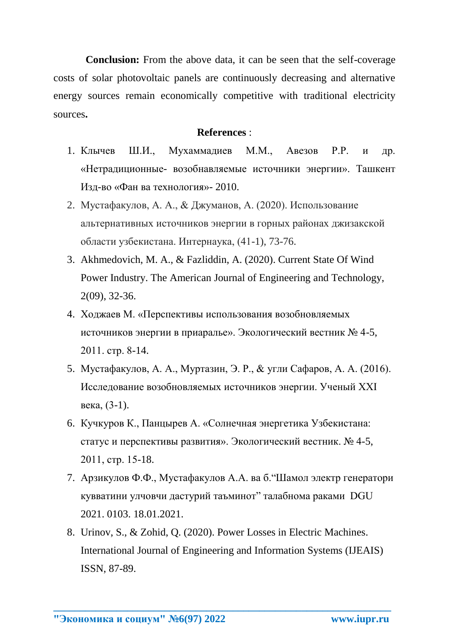**Conclusion:** From the above data, it can be seen that the self-coverage costs of solar photovoltaic panels are continuously decreasing and alternative energy sources remain economically competitive with traditional electricity sources**.**

## **References** :

- 1. Клычев Ш.И., Мухаммадиев М.М., Авезов Р.Р. и др. «Нетрадиционные- возобнавляемые источники энергии». Ташкент Изд-во «Фан ва технология»- 2010.
- 2. Мустафакулов, А. А., & Джуманов, А. (2020). Использование альтернативных источников энергии в горных районах джизакской области узбекистана. Интернаука, (41-1), 73-76.
- 3. Akhmedovich, M. A., & Fazliddin, A. (2020). Current State Of Wind Power Industry. The American Journal of Engineering and Technology, 2(09), 32-36.
- 4. Ходжаев М. «Перспективы использования возобновляемых источников энергии в приаралье». Экологический вестник № 4-5, 2011. стр. 8-14.
- 5. Мустафакулов, А. А., Муртазин, Э. Р., & угли Сафаров, А. А. (2016). Исследование возобновляемых источников энергии. Ученый XXI века, (3-1).
- 6. Кучкуров К., Панцырев А. «Солнечная энергетика Узбекистана: статус и перспективы развития». Экологический вестник. № 4-5, 2011, стр. 15-18.
- 7. Арзикулов Ф.Ф., Мустафакулов А.А. ва б."Шамол электр генератори кувватини улчовчи дастурий таъминот" талабнома раками DGU 2021. 0103. 18.01.2021.
- 8. Urinov, S., & Zohid, Q. (2020). Power Losses in Electric Machines. International Journal of Engineering and Information Systems (IJEAIS) ISSN, 87-89.